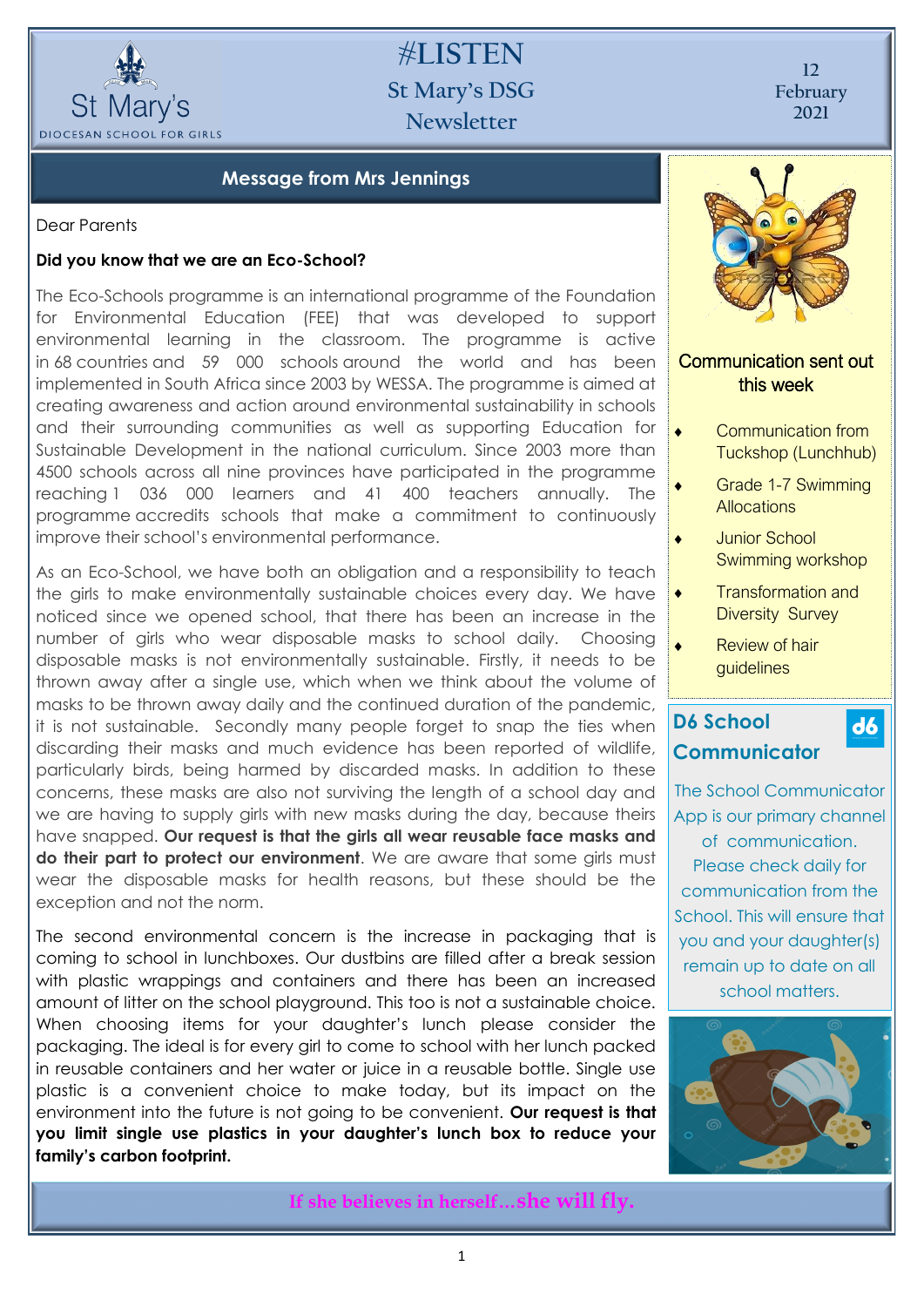

# **#LISTEN St Mary's DSG Newsletter**

**12 February 2021**

## **Message from Mrs Jennings**

Dear Parents

#### **Did you know that we are an Eco-School?**

The Eco-Schools programme is an international programme of the Foundation for Environmental Education (FEE) that was developed to support environmental learning in the classroom. The programme is active in 68 countries and 59 000 schools around the world and has been implemented in South Africa since 2003 by WESSA. The programme is aimed at creating awareness and action around environmental sustainability in schools and their surrounding communities as well as supporting Education for Sustainable Development in the national curriculum. Since 2003 more than 4500 schools across all nine provinces have participated in the programme reaching 1 036 000 learners and 41 400 teachers annually. The programme accredits schools that make a commitment to continuously improve their school's environmental performance.

As an Eco-School, we have both an obligation and a responsibility to teach the girls to make environmentally sustainable choices every day. We have noticed since we opened school, that there has been an increase in the number of girls who wear disposable masks to school daily. Choosing disposable masks is not environmentally sustainable. Firstly, it needs to be thrown away after a single use, which when we think about the volume of masks to be thrown away daily and the continued duration of the pandemic, it is not sustainable. Secondly many people forget to snap the ties when discarding their masks and much evidence has been reported of wildlife, particularly birds, being harmed by discarded masks. In addition to these concerns, these masks are also not surviving the length of a school day and we are having to supply girls with new masks during the day, because theirs have snapped. **Our request is that the girls all wear reusable face masks and**  do their part to protect our environment. We are aware that some airls must wear the disposable masks for health reasons, but these should be the exception and not the norm.

The second environmental concern is the increase in packaging that is coming to school in lunchboxes. Our dustbins are filled after a break session with plastic wrappings and containers and there has been an increased amount of litter on the school playground. This too is not a sustainable choice. When choosing items for your daughter's lunch please consider the packaging. The ideal is for every girl to come to school with her lunch packed in reusable containers and her water or juice in a reusable bottle. Single use plastic is a convenient choice to make today, but its impact on the environment into the future is not going to be convenient. **Our request is that you limit single use plastics in your daughter's lunch box to reduce your family's carbon footprint.** 



## Communication sent out this week

- Communication from Tuckshop (Lunchhub)
- Grade 1-7 Swimming **Allocations**
- Junior School Swimming workshop
- Transformation and Diversity Survey

 $\mathbf{d6}$ 

 Review of hair guidelines

# **D6 School Communicator**

The School Communicator App is our primary channel of communication. Please check daily for communication from the School. This will ensure that you and your daughter(s) remain up to date on all school matters.



**If she believes in herself…she will fly.**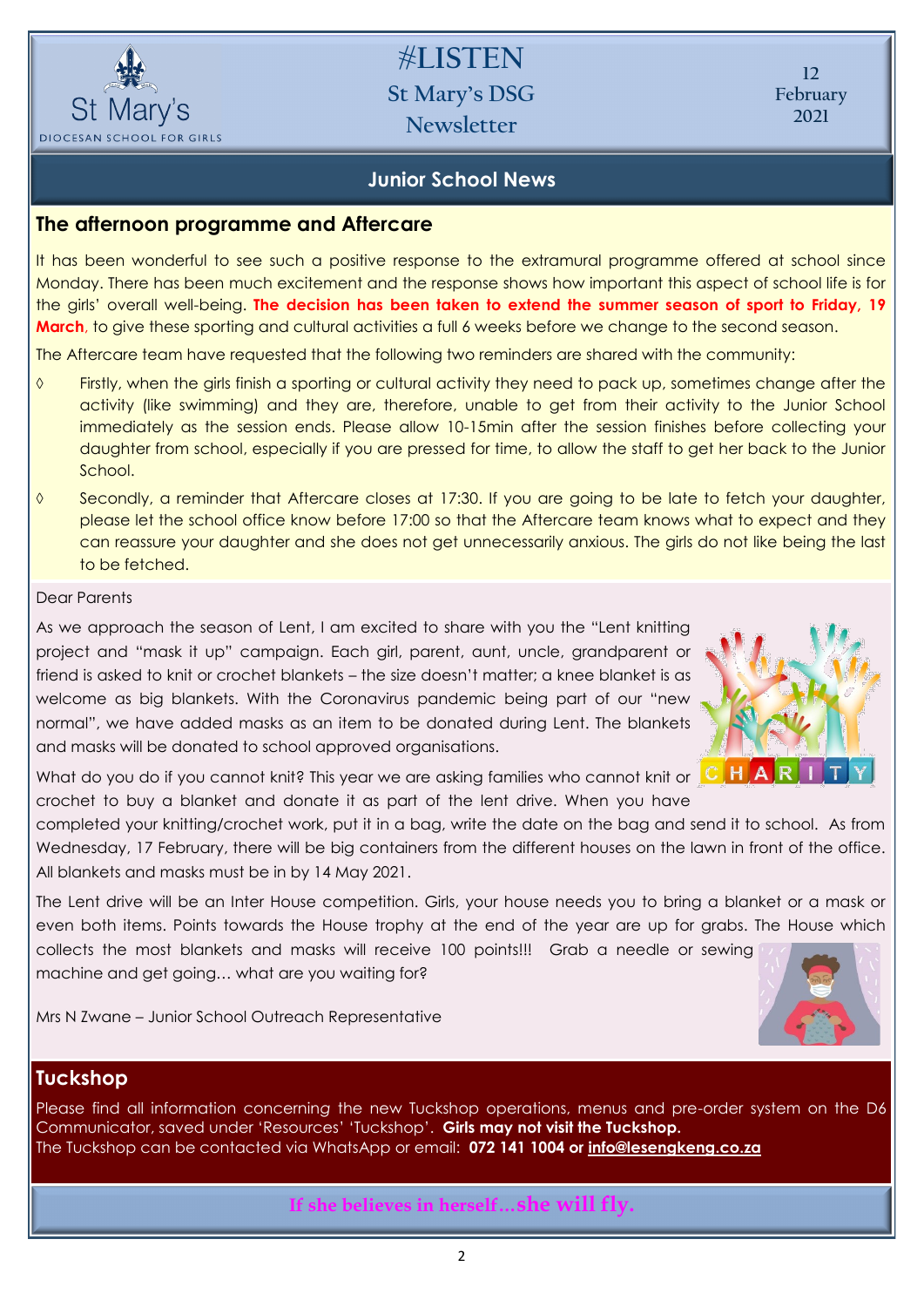

**#LISTEN St Mary's DSG Newsletter**

**12 February 2021**

## **Junior School News**

## **The afternoon programme and Aftercare**

It has been wonderful to see such a positive response to the extramural programme offered at school since Monday. There has been much excitement and the response shows how important this aspect of school life is for the girls' overall well-being. **The decision has been taken to extend the summer season of sport to Friday, 19 March**, to give these sporting and cultural activities a full 6 weeks before we change to the second season.

The Aftercare team have requested that the following two reminders are shared with the community:

- Firstly, when the girls finish a sporting or cultural activity they need to pack up, sometimes change after the activity (like swimming) and they are, therefore, unable to get from their activity to the Junior School immediately as the session ends. Please allow 10-15min after the session finishes before collecting your daughter from school, especially if you are pressed for time, to allow the staff to get her back to the Junior School.
- Secondly, a reminder that Aftercare closes at 17:30. If you are going to be late to fetch your daughter, please let the school office know before 17:00 so that the Aftercare team knows what to expect and they can reassure your daughter and she does not get unnecessarily anxious. The girls do not like being the last to be fetched.

#### Dear Parents

As we approach the season of Lent, I am excited to share with you the "Lent knitting project and "mask it up" campaign. Each girl, parent, aunt, uncle, grandparent or friend is asked to knit or crochet blankets – the size doesn't matter; a knee blanket is as welcome as big blankets. With the Coronavirus pandemic being part of our "new normal", we have added masks as an item to be donated during Lent. The blankets and masks will be donated to school approved organisations.



What do you do if you cannot knit? This year we are asking families who cannot knit or  $\begin{array}{|c|} \hline \textbf{C} & \textbf{H} \end{array}$ crochet to buy a blanket and donate it as part of the lent drive. When you have

completed your knitting/crochet work, put it in a bag, write the date on the bag and send it to school. As from Wednesday, 17 February, there will be big containers from the different houses on the lawn in front of the office. All blankets and masks must be in by 14 May 2021.

The Lent drive will be an Inter House competition. Girls, your house needs you to bring a blanket or a mask or even both items. Points towards the House trophy at the end of the year are up for grabs. The House which collects the most blankets and masks will receive 100 points!!! Grab a needle or sewing

Mrs N Zwane – Junior School Outreach Representative

machine and get going… what are you waiting for?

#### **Tuckshop**

Please find all information concernin*g* the new Tuckshop operations, menus and pre-order system on the D6 Communicator, saved under 'Resources' 'Tuckshop'. **Girls may not visit the Tuckshop.**  The Tuckshop can be contacted via WhatsApp or email: **072 141 1004 or [info@lesengkeng.co.za](mailto:info@lesengkeng.co.za)**

**If she believes in herself…she will fly.**